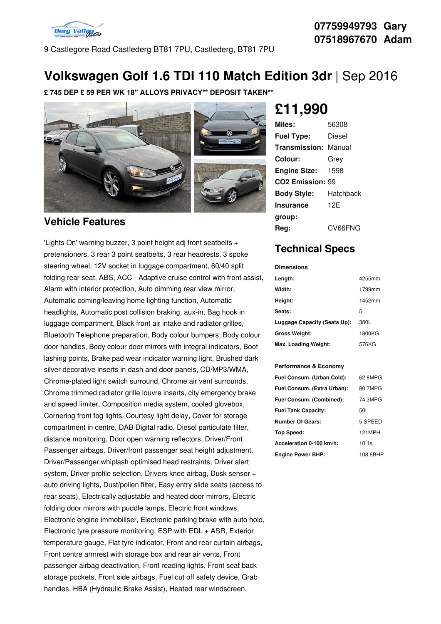

9 Castlegore Road Castlederg BT81 7PU, Castlederg, BT81 7PU

## **07759949793 Gary 07518967670 Adam**

# **Volkswagen Golf 1.6 TDI 110 Match Edition 3dr** |Sep 2016

**£ 745 DEP £ 59 PER WK 18" ALLOYS PRIVACY\*\* DEPOSIT TAKEN\*\***



## **Vehicle Features**

'Lights On' warning buzzer, 3 point height adj front seatbelts + pretensioners, 3 rear 3 point seatbelts, 3 rear headrests, 3 spoke steering wheel, 12V socket in luggage compartment, 60/40 split folding rear seat, ABS, ACC - Adaptive cruise control with front assist, Alarm with interior protection, Auto dimming rear view mirror, Automatic coming/leaving home lighting function, Automatic headlights, Automatic post collision braking, aux-in, Bag hook in luggage compartment, Black front air intake and radiator grilles, Bluetooth Telephone preparation, Body colour bumpers, Body colour door handles, Body colour door mirrors with integral indicators, Boot lashing points, Brake pad wear indicator warning light, Brushed dark silver decorative inserts in dash and door panels, CD/MP3/WMA, Chrome-plated light switch surround, Chrome air vent surrounds, Chrome trimmed radiator grille louvre inserts, city emergency brake and speed limiter, Composition media system, cooled glovebox, Cornering front fog lights, Courtesy light delay, Cover for storage compartment in centre, DAB Digital radio, Diesel particulate filter, distance monitoring, Door open warning reflectors, Driver/Front Passenger airbags, Driver/front passenger seat height adjustment, Driver/Passenger whiplash optimised head restraints, Driver alert system, Driver profile selection, Drivers knee airbag, Dusk sensor + auto driving lights, Dust/pollen filter, Easy entry slide seats (access to rear seats), Electrically adjustable and heated door mirrors, Electric folding door mirrors with puddle lamps, Electric front windows, Electronic engine immobiliser, Electronic parking brake with auto hold, Electronic tyre pressure monitoring, ESP with EDL + ASR, Exterior temperature gauge, Flat tyre indicator, Front and rear curtain airbags, Front centre armrest with storage box and rear air vents, Front passenger airbag deactivation, Front reading lights, Front seat back storage pockets, Front side airbags, Fuel cut off safety device, Grab handles, HBA (Hydraulic Brake Assist), Heated rear windscreen,

# **£11,990**

| Miles:                       | 56308     |  |
|------------------------------|-----------|--|
| <b>Fuel Type:</b>            | Diesel    |  |
| Transmission:                | Manual    |  |
| Colour:                      | Grev      |  |
| <b>Engine Size:</b>          | 1598      |  |
| CO <sub>2</sub> Emission: 99 |           |  |
| <b>Body Style:</b>           | Hatchback |  |
| <b>Insurance</b>             | 12F       |  |
| group:                       |           |  |
| Rea:                         | CV66FNG   |  |

## **Technical Specs**

#### **Dimensions**

| Length:                      | 4255mm |
|------------------------------|--------|
| Width:                       | 1799mm |
| Height:                      | 1452mm |
| Seats:                       | 5      |
| Luggage Capacity (Seats Up): | 380L   |
| <b>Gross Weight:</b>         | 1800KG |
| Max. Loading Weight:         | 576KG  |

### **Performance & Economy**

| Fuel Consum. (Urban Cold):  | 62.8MPG       |
|-----------------------------|---------------|
| Fuel Consum. (Extra Urban): | 80.7MPG       |
| Fuel Consum. (Combined):    | 74.3MPG       |
| <b>Fuel Tank Capacity:</b>  | 50L           |
| <b>Number Of Gears:</b>     | 5 SPEED       |
| Top Speed:                  | <b>121MPH</b> |
| Acceleration 0-100 km/h:    | 10.1s         |
| <b>Engine Power BHP:</b>    | 108.6BHP      |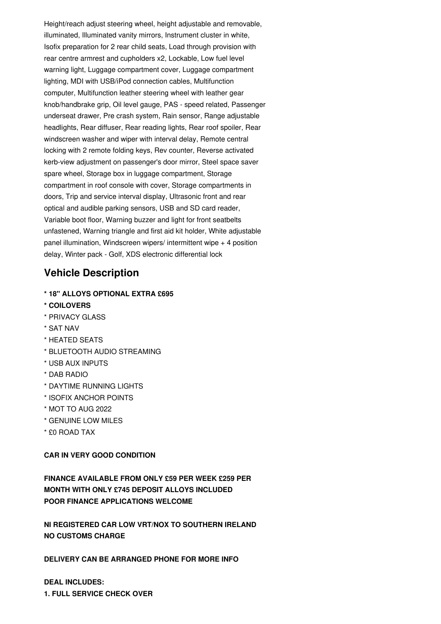Height/reach adjust steering wheel, height adjustable and removable, illuminated, Illuminated vanity mirrors, Instrument cluster in white, Isofix preparation for 2 rear child seats, Load through provision with rear centre armrest and cupholders x2, Lockable, Low fuel level warning light, Luggage compartment cover, Luggage compartment lighting, MDI with USB/iPod connection cables, Multifunction computer, Multifunction leather steering wheel with leather gear knob/handbrake grip, Oil level gauge, PAS - speed related, Passenger underseat drawer, Pre crash system, Rain sensor, Range adjustable headlights, Rear diffuser, Rear reading lights, Rear roof spoiler, Rear windscreen washer and wiper with interval delay, Remote central locking with 2 remote folding keys, Rev counter, Reverse activated kerb-view adjustment on passenger's door mirror, Steel space saver spare wheel, Storage box in luggage compartment, Storage compartment in roof console with cover, Storage compartments in doors, Trip and service interval display, Ultrasonic front and rear optical and audible parking sensors, USB and SD card reader, Variable boot floor, Warning buzzer and light for front seatbelts unfastened, Warning triangle and first aid kit holder, White adjustable panel illumination, Windscreen wipers/ intermittent wipe + 4 position delay, Winter pack - Golf, XDS electronic differential lock

## **Vehicle Description**

- **\* 18" ALLOYS OPTIONAL EXTRA £695**
- **\* COILOVERS**
- \* PRIVACY GLASS
- \* SAT NAV
- \* HEATED SEATS
- \* BLUETOOTH AUDIO STREAMING
- \* USB AUX INPUTS
- \* DAB RADIO
- \* DAYTIME RUNNING LIGHTS
- \* ISOFIX ANCHOR POINTS
- \* MOT TO AUG 2022
- \* GENUINE LOW MILES
- \* £0 ROAD TAX

### **CAR IN VERY GOOD CONDITION**

**FINANCE AVAILABLE FROM ONLY £59 PER WEEK £259 PER MONTH WITH ONLY £745 DEPOSIT ALLOYS INCLUDED POOR FINANCE APPLICATIONS WELCOME**

**NI REGISTERED CAR LOW VRT/NOX TO SOUTHERN IRELAND NO CUSTOMS CHARGE**

**DELIVERY CAN BE ARRANGED PHONE FOR MORE INFO**

## **DEAL INCLUDES: 1. FULL SERVICE CHECK OVER**